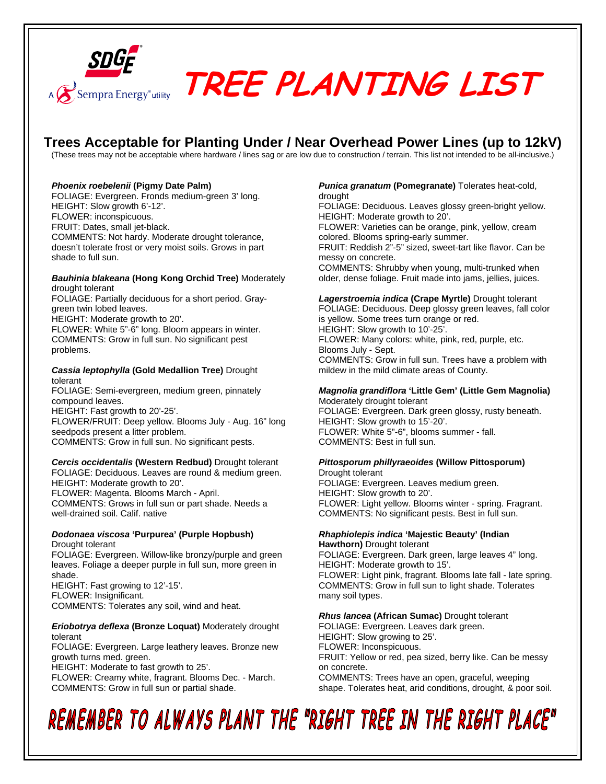

# **Resempra Energy<sup>s</sup>utility** TREE PLANTING LIST

## **Trees Acceptable for Planting Under / Near Overhead Power Lines (up to 12kV)**

(These trees may not be acceptable where hardware / lines sag or are low due to construction / terrain. This list not intended to be all-inclusive.)

### *Phoenix roebelenii* **(Pigmy Date Palm)**

FOLIAGE: Evergreen. Fronds medium-green 3' long. HEIGHT: Slow growth 6'-12'. FLOWER: inconspicuous. FRUIT: Dates, small jet-black. COMMENTS: Not hardy. Moderate drought tolerance, doesn't tolerate frost or very moist soils. Grows in part shade to full sun.

#### *Bauhinia blakeana* **(Hong Kong Orchid Tree)** Moderately drought tolerant

FOLIAGE: Partially deciduous for a short period. Graygreen twin lobed leaves. HEIGHT: Moderate growth to 20'.

FLOWER: White 5"-6" long. Bloom appears in winter. COMMENTS: Grow in full sun. No significant pest problems.

## *Cassia leptophylla* **(Gold Medallion Tree)** Drought tolerant

FOLIAGE: Semi-evergreen, medium green, pinnately compound leaves.

HEIGHT: Fast growth to 20'-25'.

FLOWER/FRUIT: Deep yellow. Blooms July - Aug. 16" long seedpods present a litter problem. COMMENTS: Grow in full sun. No significant pests.

## *Cercis occidentalis* **(Western Redbud)** Drought tolerant FOLIAGE: Deciduous. Leaves are round & medium green. HEIGHT: Moderate growth to 20'. FLOWER: Magenta. Blooms March - April.

COMMENTS: Grows in full sun or part shade. Needs a well-drained soil. Calif. native

#### *Dodonaea viscosa* **'Purpurea' (Purple Hopbush)**  Drought tolerant

FOLIAGE: Evergreen. Willow-like bronzy/purple and green leaves. Foliage a deeper purple in full sun, more green in shade. HEIGHT: Fast growing to 12'-15'.

FLOWER: Insignificant.

COMMENTS: Tolerates any soil, wind and heat.

### *Eriobotrya deflexa* **(Bronze Loquat)** Moderately drought tolerant

FOLIAGE: Evergreen. Large leathery leaves. Bronze new growth turns med. green.

HEIGHT: Moderate to fast growth to 25'.

FLOWER: Creamy white, fragrant. Blooms Dec. - March. COMMENTS: Grow in full sun or partial shade.

#### *Punica granatum* **(Pomegranate)** Tolerates heat-cold, drought

FOLIAGE: Deciduous. Leaves glossy green-bright yellow. HEIGHT: Moderate growth to 20'. FLOWER: Varieties can be orange, pink, yellow, cream

colored. Blooms spring-early summer. FRUIT: Reddish 2"-5" sized, sweet-tart like flavor. Can be

messy on concrete.

COMMENTS: Shrubby when young, multi-trunked when older, dense foliage. Fruit made into jams, jellies, juices.

## *Lagerstroemia indica* **(Crape Myrtle)** Drought tolerant

FOLIAGE: Deciduous. Deep glossy green leaves, fall color is yellow. Some trees turn orange or red. HEIGHT: Slow growth to 10'-25'. FLOWER: Many colors: white, pink, red, purple, etc. Blooms July - Sept. COMMENTS: Grow in full sun. Trees have a problem with mildew in the mild climate areas of County.

## *Magnolia grandiflora* **'Little Gem' (Little Gem Magnolia)**

Moderately drought tolerant FOLIAGE: Evergreen. Dark green glossy, rusty beneath. HEIGHT: Slow growth to 15'-20'. FLOWER: White 5"-6", blooms summer - fall. COMMENTS: Best in full sun.

## *Pittosporum phillyraeoides* **(Willow Pittosporum)**

Drought tolerant FOLIAGE: Evergreen. Leaves medium green. HEIGHT: Slow growth to 20'. FLOWER: Light yellow. Blooms winter - spring. Fragrant. COMMENTS: No significant pests. Best in full sun.

### *Rhaphiolepis indica* **'Majestic Beauty' (Indian Hawthorn)** Drought tolerant

FOLIAGE: Evergreen. Dark green, large leaves 4" long. HEIGHT: Moderate growth to 15'. FLOWER: Light pink, fragrant. Blooms late fall - late spring. COMMENTS: Grow in full sun to light shade. Tolerates many soil types.

## *Rhus lancea* **(African Sumac)** Drought tolerant

FOLIAGE: Evergreen. Leaves dark green. HEIGHT: Slow growing to 25'. FLOWER: Inconspicuous. FRUIT: Yellow or red, pea sized, berry like. Can be messy on concrete. COMMENTS: Trees have an open, graceful, weeping shape. Tolerates heat, arid conditions, drought, & poor soil.

## REMEMBER TO ALWAYS PLANT THE "RIGHT TREE IN THE RIGHT PLACE"